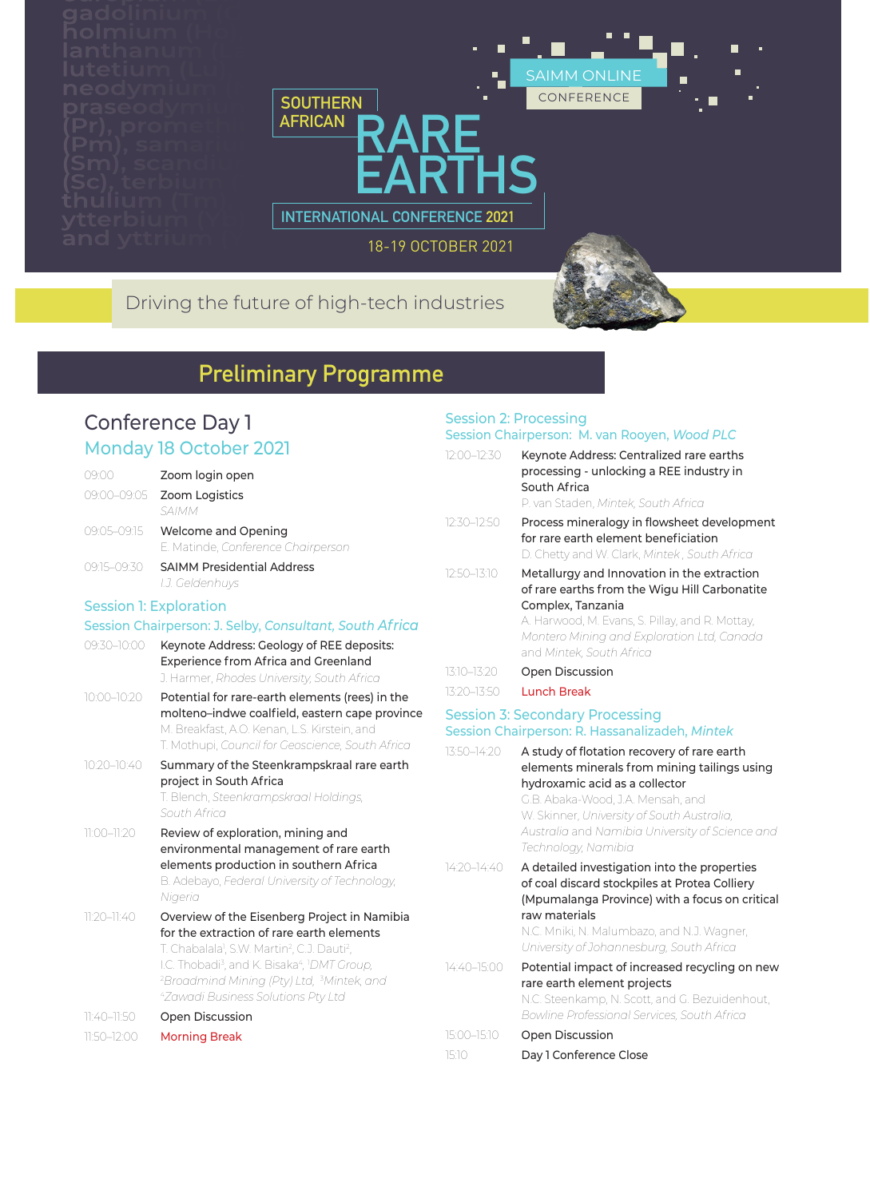



18-19 OCTOBER 2021

## Driving the future of high-tech industries

# **Preliminary Programme**

### Conference Day 1 Monday 18 October 2021

| 09:00           | Zoom login open                                                                                                                                                                                                                                                                                                                                                              |
|-----------------|------------------------------------------------------------------------------------------------------------------------------------------------------------------------------------------------------------------------------------------------------------------------------------------------------------------------------------------------------------------------------|
| 09:00-09:05     | Zoom Logistics<br>SAIMM                                                                                                                                                                                                                                                                                                                                                      |
| 09:05-09:15     | Welcome and Opening<br>E. Matinde, Conference Chairperson                                                                                                                                                                                                                                                                                                                    |
| 09:15-09:30     | <b>SAIMM Presidential Address</b><br>I.J. Geldenhuys                                                                                                                                                                                                                                                                                                                         |
|                 | <b>Session 1: Exploration</b>                                                                                                                                                                                                                                                                                                                                                |
|                 | Session Chairperson: J. Selby, Consultant, South Africa                                                                                                                                                                                                                                                                                                                      |
| 09:30-10:00     | Keynote Address: Geology of REE deposits:<br><b>Experience from Africa and Greenland</b><br>J. Harmer, Rhodes University, South Africa                                                                                                                                                                                                                                       |
| 10:00-10:20     | Potential for rare-earth elements (rees) in the<br>molteno-indwe coalfield, eastern cape province<br>M. Breakfast, A.O. Kenan, L.S. Kirstein, and<br>T. Mothupi, Council for Geoscience, South Africa                                                                                                                                                                        |
| 10:20-10:40     | Summary of the Steenkrampskraal rare earth<br>project in South Africa<br>T. Blench, Steenkrampskraal Holdings,<br>South Africa                                                                                                                                                                                                                                               |
| 11:00-11:20     | Review of exploration, mining and<br>environmental management of rare earth<br>elements production in southern Africa<br>B. Adebayo, Federal University of Technology,<br>Nigeria                                                                                                                                                                                            |
| $11:20 - 11:40$ | Overview of the Eisenberg Project in Namibia<br>for the extraction of rare earth elements<br>T. Chabalala <sup>1</sup> , S.W. Martin <sup>2</sup> , C.J. Dauti <sup>2</sup> ,<br>I.C. Thobadi <sup>3</sup> , and K. Bisaka <sup>4</sup> , <sup>1</sup> DMT Group,<br><sup>2</sup> Broadmind Mining (Pty) Ltd, <sup>3</sup> Mintek, and<br>4Zawadi Business Solutions Pty Ltd |
| 11:40-11:50     | Open Discussion                                                                                                                                                                                                                                                                                                                                                              |
| 11:50-12:00     | <b>Morning Break</b>                                                                                                                                                                                                                                                                                                                                                         |

#### Session 2: Processing Session Chairperson: M. van Rooyen, *Wood PLC*

| 12:00-12:30 | Keynote Address: Centralized rare earths<br>processing - unlocking a REE industry in<br>South Africa<br>P. van Staden, Mintek, South Africa                                                                                                    |
|-------------|------------------------------------------------------------------------------------------------------------------------------------------------------------------------------------------------------------------------------------------------|
| 12:30–12:50 | Process mineralogy in flowsheet development<br>for rare earth element beneficiation<br>D. Chetty and W. Clark, Mintek, South Africa                                                                                                            |
| 12:50–13:10 | Metallurgy and Innovation in the extraction<br>of rare earths from the Wigu Hill Carbonatite<br>Complex, Tanzania<br>A. Harwood, M. Evans, S. Pillay, and R. Mottay,<br>Montero Mining and Exploration Ltd, Canada<br>and Mintek, South Africa |
| 13:10-13:20 | <b>Open Discussion</b>                                                                                                                                                                                                                         |
| 13:20–13:50 | Lunch Break                                                                                                                                                                                                                                    |
|             |                                                                                                                                                                                                                                                |

#### Session 3: Secondary Processing Session Chairperson: R. Hassanalizadeh, *Mintek*

| 13:50-14:20 | A study of flotation recovery of rare earth<br>elements minerals from mining tailings using<br>hydroxamic acid as a collector<br>G.B. Abaka-Wood, J.A. Mensah, and<br>W. Skinner, University of South Australia,<br>Australia and Namibia University of Science and<br>Technology, Namibia |
|-------------|--------------------------------------------------------------------------------------------------------------------------------------------------------------------------------------------------------------------------------------------------------------------------------------------|
| 14:20-14:40 | A detailed investigation into the properties<br>of coal discard stockpiles at Protea Colliery<br>(Mpumalanga Province) with a focus on critical<br>raw materials<br>N.C. Mniki, N. Malumbazo, and N.J. Wagner,<br>University of Johannesburg, South Africa                                 |
| 14:40-15:00 | Potential impact of increased recycling on new<br>rare earth element projects<br>N.C. Steenkamp, N. Scott, and G. Bezuidenhout,<br><b>Bowline Professional Services, South Africa</b>                                                                                                      |
| 15:00-15:10 | Open Discussion                                                                                                                                                                                                                                                                            |
| 15:10       | Day 1 Conference Close                                                                                                                                                                                                                                                                     |